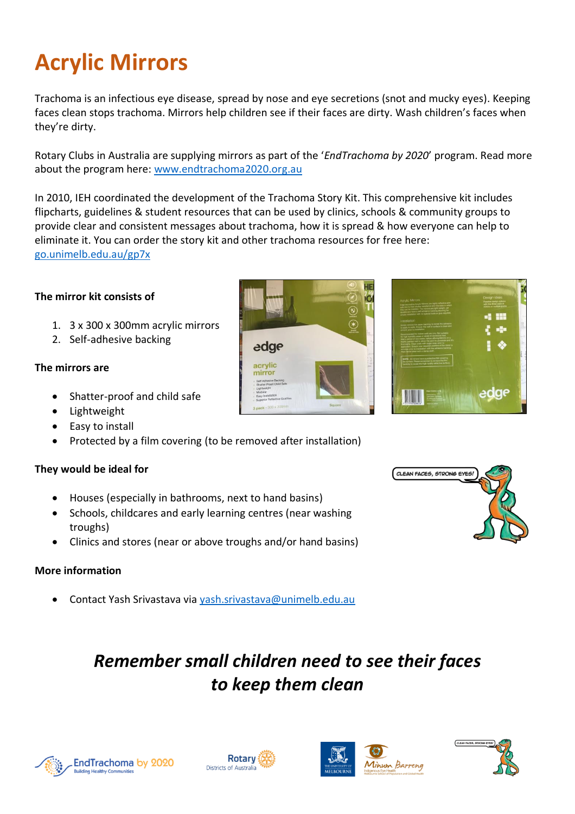# **Acrylic Mirrors**

Trachoma is an infectious eye disease, spread by nose and eye secretions (snot and mucky eyes). Keeping faces clean stops trachoma. Mirrors help children see if their faces are dirty. Wash children's faces when they're dirty.

Rotary Clubs in Australia are supplying mirrors as part of the '*EndTrachoma by 2020*' program. Read more about the program here: [www.endtrachoma2020.org.au](https://protect-au.mimecast.com/s/yYnrCQnzDmsjmRA1IxTwgu?domain=endtrachoma2020.org.au)

In 2010, IEH coordinated the development of the Trachoma Story Kit. This comprehensive kit includes flipcharts, guidelines & student resources that can be used by clinics, schools & community groups to provide clear and consistent messages about trachoma, how it is spread & how everyone can help to eliminate it. You can order the story kit and other trachoma resources for free here: [go.unimelb.edu.au/gp7x](http://go.unimelb.edu.au/gp7x) 

## **The mirror kit consists of**

- 1. 3 x 300 x 300mm acrylic mirrors
- 2. Self-adhesive backing

#### **The mirrors are**

- Shatter-proof and child safe
- Lightweight
- Easy to install
- Protected by a film covering (to be removed after installation)

## **They would be ideal for**

- Houses (especially in bathrooms, next to hand basins)
- Schools, childcares and early learning centres (near washing troughs)
- Clinics and stores (near or above troughs and/or hand basins)

#### **More information**

• Contact Yash Srivastava via [yash.srivastava@unimelb.edu.au](mailto:yash.srivastava@unimelb.edu.au)